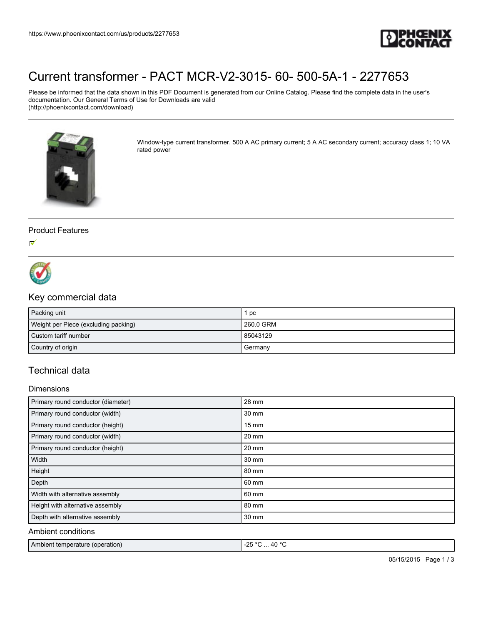

# [Current transformer - PACT MCR-V2-3015- 60- 500-5A-1 - 2277653](https://www.phoenixcontact.com/us/products/2277653)

Please be informed that the data shown in this PDF Document is generated from our Online Catalog. Please find the complete data in the user's documentation. Our General Terms of Use for Downloads are valid (http://phoenixcontact.com/download)



Window-type current transformer, 500 A AC primary current; 5 A AC secondary current; accuracy class 1; 10 VA rated power

### Product Features

 $\checkmark$ 



## Key commercial data

| Packing unit                         | pc        |
|--------------------------------------|-----------|
| Weight per Piece (excluding packing) | 260.0 GRM |
| Custom tariff number                 | 85043129  |
| Country of origin                    | Germany   |

## Technical data

### **Dimensions**

| Primary round conductor (diameter) | 28 mm           |
|------------------------------------|-----------------|
| Primary round conductor (width)    | 30 mm           |
| Primary round conductor (height)   | $15 \text{ mm}$ |
| Primary round conductor (width)    | 20 mm           |
| Primary round conductor (height)   | $20 \text{ mm}$ |
| Width                              | 30 mm           |
| Height                             | 80 mm           |
| Depth                              | 60 mm           |
| Width with alternative assembly    | 60 mm           |
| Height with alternative assembly   | 80 mm           |
| Depth with alternative assembly    | 30 mm           |
| Ambient conditions                 |                 |

| Ambient temperature (operation) | $-40°$<br>.າნ ∘⊂<br>-2., |
|---------------------------------|--------------------------|
|                                 |                          |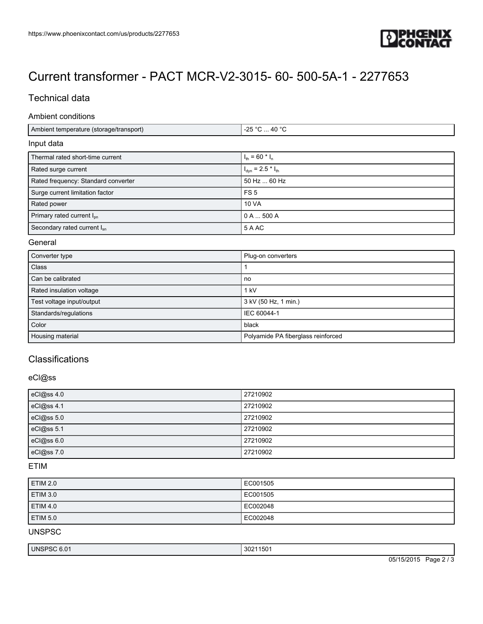

# [Current transformer - PACT MCR-V2-3015- 60- 500-5A-1 - 2277653](https://www.phoenixcontact.com/us/products/2277653)

## Technical data

### Ambient conditions

| Ambient temperature (storage/transport) | $-25$ °C $\dots$ 40 °C                   |
|-----------------------------------------|------------------------------------------|
| Input data                              |                                          |
| Thermal rated short-time current        | $I_{\text{th}}$ = 60 $^*$ $I_{\text{n}}$ |
| Rated surge current                     | $I_{dyn} = 2.5 * I_{th}$                 |
| Rated frequency: Standard converter     | 50 Hz  60 Hz                             |
| Surge current limitation factor         | FS <sub>5</sub>                          |
| Rated power                             | <b>10 VA</b>                             |
| Primary rated current I <sub>pn</sub>   | 0 A  500 A                               |
| Secondary rated current I <sub>sn</sub> | 5 A AC                                   |

### General

| Converter type            | Plug-on converters                 |
|---------------------------|------------------------------------|
| Class                     |                                    |
| Can be calibrated         | no                                 |
| Rated insulation voltage  | kV                                 |
| Test voltage input/output | 3 kV (50 Hz, 1 min.)               |
| Standards/regulations     | IEC 60044-1                        |
| Color                     | black                              |
| Housing material          | Polyamide PA fiberglass reinforced |

## **Classifications**

## eCl@ss

| eCl@ss 4.0 | 27210902 |
|------------|----------|
| eCl@ss 4.1 | 27210902 |
| eCl@ss 5.0 | 27210902 |
| eCl@ss 5.1 | 27210902 |
| eCl@ss 6.0 | 27210902 |
| eCl@ss 7.0 | 27210902 |

### ETIM

| <b>ETIM 2.0</b> | EC001505 |
|-----------------|----------|
| <b>ETIM 3.0</b> | EC001505 |
| <b>ETIM 4.0</b> | EC002048 |
| <b>ETIM 5.0</b> | EC002048 |

### UNSPSC

| UNSP.   |          |
|---------|----------|
| OU 0.UT | 30211501 |
| טפי     | 302      |